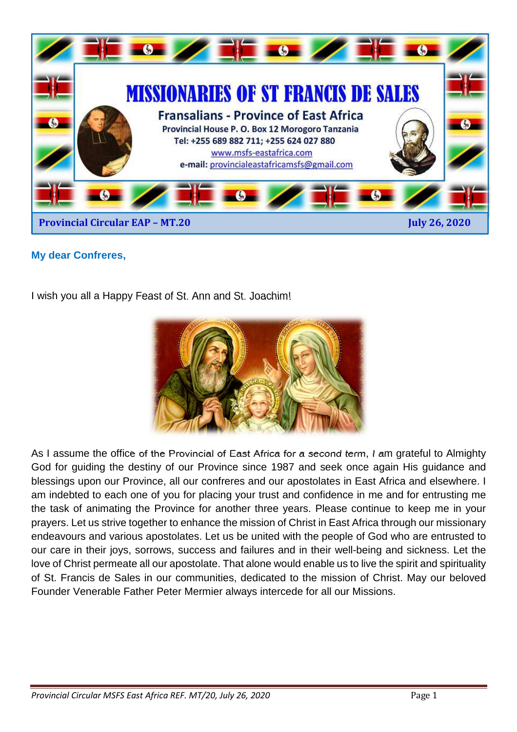

## **My dear Confreres,**

I wish you all a Happy Feast of St. Ann and St. Joachim!



As I assume the office of the Provincial of East Africa for a second term, I am grateful to Almighty God for guiding the destiny of our Province since 1987 and seek once again His guidance and blessings upon our Province, all our confreres and our apostolates in East Africa and elsewhere. I am indebted to each one of you for placing your trust and confidence in me and for entrusting me the task of animating the Province for another three years. Please continue to keep me in your prayers. Let us strive together to enhance the mission of Christ in East Africa through our missionary endeavours and various apostolates. Let us be united with the people of God who are entrusted to our care in their joys, sorrows, success and failures and in their well-being and sickness. Let the love of Christ permeate all our apostolate. That alone would enable us to live the spirit and spirituality of St. Francis de Sales in our communities, dedicated to the mission of Christ. May our beloved Founder Venerable Father Peter Mermier always intercede for all our Missions.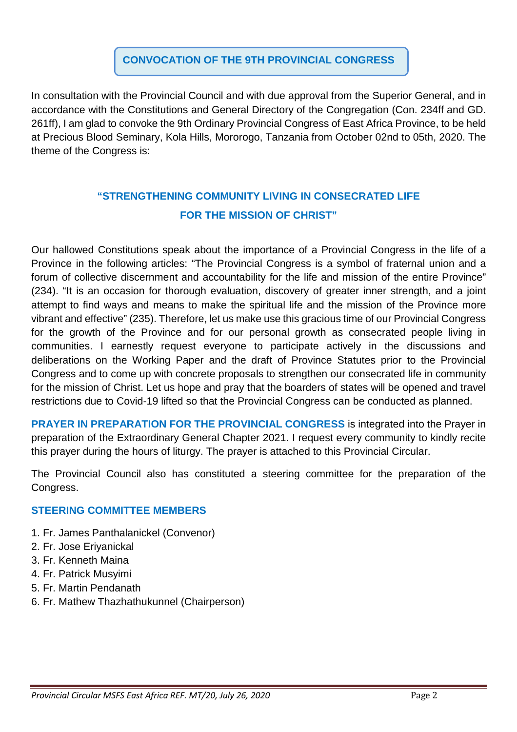## **CONVOCATION OF THE 9TH PROVINCIAL CONGRESS**

In consultation with the Provincial Council and with due approval from the Superior General, and in accordance with the Constitutions and General Directory of the Congregation (Con. 234ff and GD. 261ff), I am glad to convoke the 9th Ordinary Provincial Congress of East Africa Province, to be held at Precious Blood Seminary, Kola Hills, Mororogo, Tanzania from October 02nd to 05th, 2020. The theme of the Congress is:

# **"STRENGTHENING COMMUNITY LIVING IN CONSECRATED LIFE FOR THE MISSION OF CHRIST"**

Our hallowed Constitutions speak about the importance of a Provincial Congress in the life of a Province in the following articles: "The Provincial Congress is a symbol of fraternal union and a forum of collective discernment and accountability for the life and mission of the entire Province" (234). "It is an occasion for thorough evaluation, discovery of greater inner strength, and a joint attempt to find ways and means to make the spiritual life and the mission of the Province more vibrant and effective" (235). Therefore, let us make use this gracious time of our Provincial Congress for the growth of the Province and for our personal growth as consecrated people living in communities. I earnestly request everyone to participate actively in the discussions and deliberations on the Working Paper and the draft of Province Statutes prior to the Provincial Congress and to come up with concrete proposals to strengthen our consecrated life in community for the mission of Christ. Let us hope and pray that the boarders of states will be opened and travel restrictions due to Covid-19 lifted so that the Provincial Congress can be conducted as planned.

**PRAYER IN PREPARATION FOR THE PROVINCIAL CONGRESS** is integrated into the Prayer in preparation of the Extraordinary General Chapter 2021. I request every community to kindly recite this prayer during the hours of liturgy. The prayer is attached to this Provincial Circular.

The Provincial Council also has constituted a steering committee for the preparation of the Congress.

### **STEERING COMMITTEE MEMBERS**

- 1. Fr. James Panthalanickel (Convenor)
- 2. Fr. Jose Eriyanickal
- 3. Fr. Kenneth Maina
- 4. Fr. Patrick Musyimi
- 5. Fr. Martin Pendanath
- 6. Fr. Mathew Thazhathukunnel (Chairperson)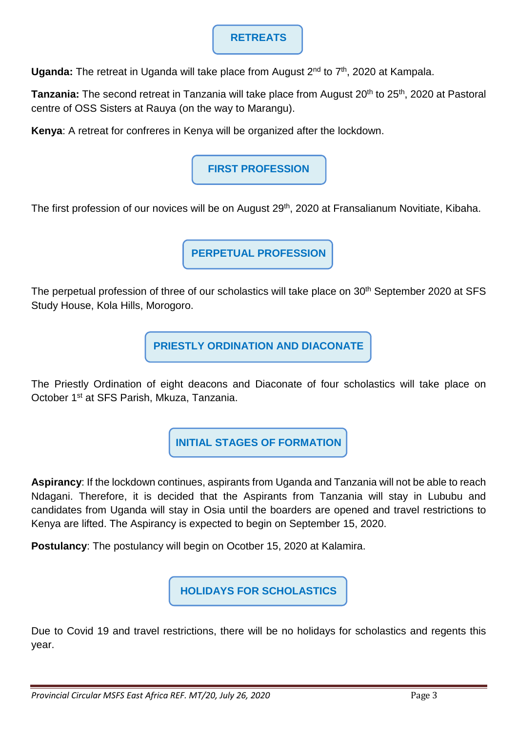## **RETREATS**

Uganda: The retreat in Uganda will take place from August 2<sup>nd</sup> to 7<sup>th</sup>, 2020 at Kampala.

**Tanzania:** The second retreat in Tanzania will take place from August 20<sup>th</sup> to 25<sup>th</sup>, 2020 at Pastoral centre of OSS Sisters at Rauya (on the way to Marangu).

**Kenya**: A retreat for confreres in Kenya will be organized after the lockdown.

# **FIRST PROFESSION**

The first profession of our novices will be on August 29<sup>th</sup>, 2020 at Fransalianum Novitiate, Kibaha.

**PERPETUAL PROFESSION**

The perpetual profession of three of our scholastics will take place on 30<sup>th</sup> September 2020 at SFS Study House, Kola Hills, Morogoro.

**PRIESTLY ORDINATION AND DIACONATE** 

The Priestly Ordination of eight deacons and Diaconate of four scholastics will take place on October 1st at SFS Parish, Mkuza, Tanzania.

**INITIAL STAGES OF FORMATION** 

**Aspirancy**: If the lockdown continues, aspirants from Uganda and Tanzania will not be able to reach Ndagani. Therefore, it is decided that the Aspirants from Tanzania will stay in Lububu and candidates from Uganda will stay in Osia until the boarders are opened and travel restrictions to Kenya are lifted. The Aspirancy is expected to begin on September 15, 2020.

**Postulancy**: The postulancy will begin on Ocotber 15, 2020 at Kalamira.

**HOLIDAYS FOR SCHOLASTICS** 

Due to Covid 19 and travel restrictions, there will be no holidays for scholastics and regents this year.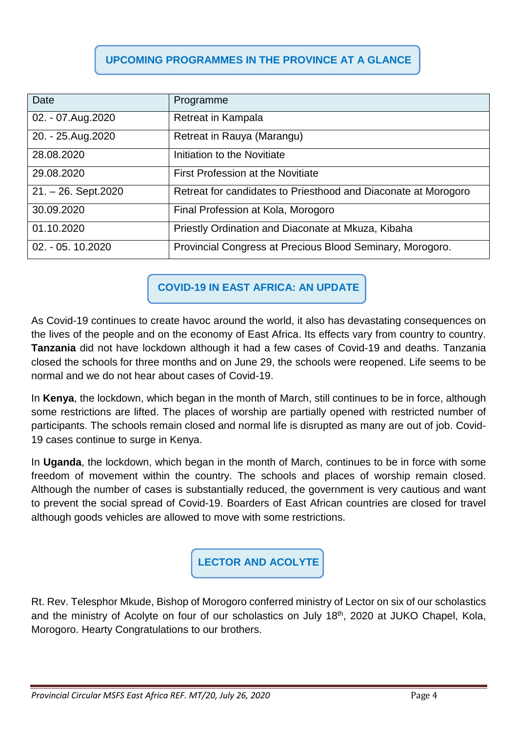# **UPCOMING PROGRAMMES IN THE PROVINCE AT A GLANCE**

| Date                     | Programme                                                      |
|--------------------------|----------------------------------------------------------------|
| 02. - 07. Aug. 2020      | Retreat in Kampala                                             |
| 20. - 25. Aug. 2020      | Retreat in Rauya (Marangu)                                     |
| 28.08.2020               | Initiation to the Novitiate                                    |
| 29.08.2020               | <b>First Profession at the Novitiate</b>                       |
| $21. - 26.$ Sept. $2020$ | Retreat for candidates to Priesthood and Diaconate at Morogoro |
| 30.09.2020               | Final Profession at Kola, Morogoro                             |
| 01.10.2020               | Priestly Ordination and Diaconate at Mkuza, Kibaha             |
| 02. - 05. 10.2020        | Provincial Congress at Precious Blood Seminary, Morogoro.      |

**COVID-19 IN EAST AFRICA: AN UPDATE** 

As Covid-19 continues to create havoc around the world, it also has devastating consequences on the lives of the people and on the economy of East Africa. Its effects vary from country to country. **Tanzania** did not have lockdown although it had a few cases of Covid-19 and deaths. Tanzania closed the schools for three months and on June 29, the schools were reopened. Life seems to be normal and we do not hear about cases of Covid-19.

In **Kenya**, the lockdown, which began in the month of March, still continues to be in force, although some restrictions are lifted. The places of worship are partially opened with restricted number of participants. The schools remain closed and normal life is disrupted as many are out of job. Covid-19 cases continue to surge in Kenya.

In **Uganda**, the lockdown, which began in the month of March, continues to be in force with some freedom of movement within the country. The schools and places of worship remain closed. Although the number of cases is substantially reduced, the government is very cautious and want to prevent the social spread of Covid-19. Boarders of East African countries are closed for travel although goods vehicles are allowed to move with some restrictions.

**LECTOR AND ACOLYTE**

Rt. Rev. Telesphor Mkude, Bishop of Morogoro conferred ministry of Lector on six of our scholastics and the ministry of Acolyte on four of our scholastics on July 18<sup>th</sup>, 2020 at JUKO Chapel, Kola, Morogoro. Hearty Congratulations to our brothers.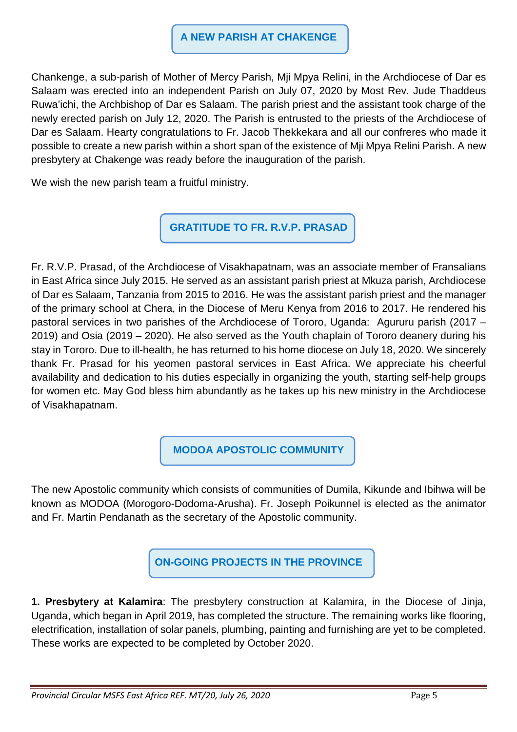#### **A NEW PARISH AT CHAKENGE**

Chankenge, a sub-parish of Mother of Mercy Parish, Mji Mpya Relini, in the Archdiocese of Dar es Salaam was erected into an independent Parish on July 07, 2020 by Most Rev. Jude Thaddeus Ruwa'ichi, the Archbishop of Dar es Salaam. The parish priest and the assistant took charge of the newly erected parish on July 12, 2020. The Parish is entrusted to the priests of the Archdiocese of Dar es Salaam. Hearty congratulations to Fr. Jacob Thekkekara and all our confreres who made it possible to create a new parish within a short span of the existence of Mji Mpya Relini Parish. A new presbytery at Chakenge was ready before the inauguration of the parish.

We wish the new parish team a fruitful ministry.

**GRATITUDE TO FR. R.V.P. PRASAD** 

Fr. R.V.P. Prasad, of the Archdiocese of Visakhapatnam, was an associate member of Fransalians in East Africa since July 2015. He served as an assistant parish priest at Mkuza parish, Archdiocese of Dar es Salaam, Tanzania from 2015 to 2016. He was the assistant parish priest and the manager of the primary school at Chera, in the Diocese of Meru Kenya from 2016 to 2017. He rendered his pastoral services in two parishes of the Archdiocese of Tororo, Uganda: Agururu parish (2017 – 2019) and Osia (2019 – 2020). He also served as the Youth chaplain of Tororo deanery during his stay in Tororo. Due to ill-health, he has returned to his home diocese on July 18, 2020. We sincerely thank Fr. Prasad for his yeomen pastoral services in East Africa. We appreciate his cheerful availability and dedication to his duties especially in organizing the youth, starting self-help groups for women etc. May God bless him abundantly as he takes up his new ministry in the Archdiocese of Visakhapatnam.

**MODOA APOSTOLIC COMMUNITY**

The new Apostolic community which consists of communities of Dumila, Kikunde and Ibihwa will be known as MODOA (Morogoro-Dodoma-Arusha). Fr. Joseph Poikunnel is elected as the animator and Fr. Martin Pendanath as the secretary of the Apostolic community.

**ON-GOING PROJECTS IN THE PROVINCE** 

**1. Presbytery at Kalamira**: The presbytery construction at Kalamira, in the Diocese of Jinja, Uganda, which began in April 2019, has completed the structure. The remaining works like flooring, electrification, installation of solar panels, plumbing, painting and furnishing are yet to be completed. These works are expected to be completed by October 2020.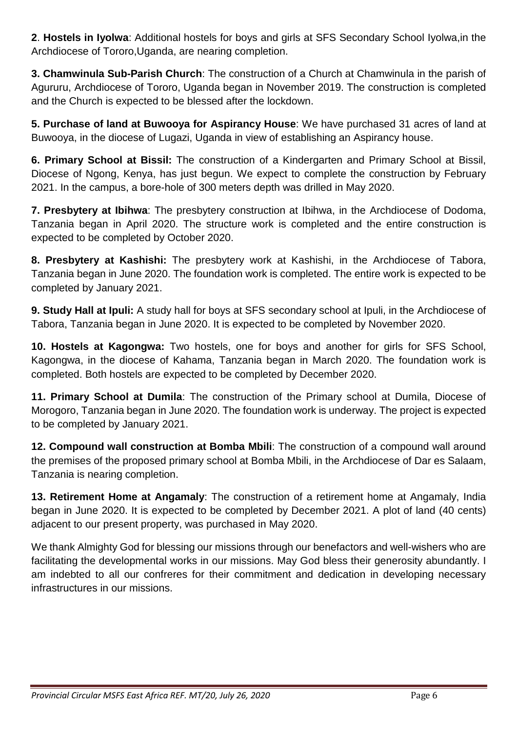**2**. **Hostels in Iyolwa**: Additional hostels for boys and girls at SFS Secondary School Iyolwa,in the Archdiocese of Tororo,Uganda, are nearing completion.

**3. Chamwinula Sub-Parish Church**: The construction of a Church at Chamwinula in the parish of Agururu, Archdiocese of Tororo, Uganda began in November 2019. The construction is completed and the Church is expected to be blessed after the lockdown.

**5. Purchase of land at Buwooya for Aspirancy House**: We have purchased 31 acres of land at Buwooya, in the diocese of Lugazi, Uganda in view of establishing an Aspirancy house.

**6. Primary School at Bissil:** The construction of a Kindergarten and Primary School at Bissil, Diocese of Ngong, Kenya, has just begun. We expect to complete the construction by February 2021. In the campus, a bore-hole of 300 meters depth was drilled in May 2020.

**7. Presbytery at Ibihwa**: The presbytery construction at Ibihwa, in the Archdiocese of Dodoma, Tanzania began in April 2020. The structure work is completed and the entire construction is expected to be completed by October 2020.

**8. Presbytery at Kashishi:** The presbytery work at Kashishi, in the Archdiocese of Tabora, Tanzania began in June 2020. The foundation work is completed. The entire work is expected to be completed by January 2021.

**9. Study Hall at Ipuli:** A study hall for boys at SFS secondary school at Ipuli, in the Archdiocese of Tabora, Tanzania began in June 2020. It is expected to be completed by November 2020.

**10. Hostels at Kagongwa:** Two hostels, one for boys and another for girls for SFS School, Kagongwa, in the diocese of Kahama, Tanzania began in March 2020. The foundation work is completed. Both hostels are expected to be completed by December 2020.

**11. Primary School at Dumila**: The construction of the Primary school at Dumila, Diocese of Morogoro, Tanzania began in June 2020. The foundation work is underway. The project is expected to be completed by January 2021.

**12. Compound wall construction at Bomba Mbili**: The construction of a compound wall around the premises of the proposed primary school at Bomba Mbili, in the Archdiocese of Dar es Salaam, Tanzania is nearing completion.

**13. Retirement Home at Angamaly**: The construction of a retirement home at Angamaly, India began in June 2020. It is expected to be completed by December 2021. A plot of land (40 cents) adjacent to our present property, was purchased in May 2020.

We thank Almighty God for blessing our missions through our benefactors and well-wishers who are facilitating the developmental works in our missions. May God bless their generosity abundantly. I am indebted to all our confreres for their commitment and dedication in developing necessary infrastructures in our missions.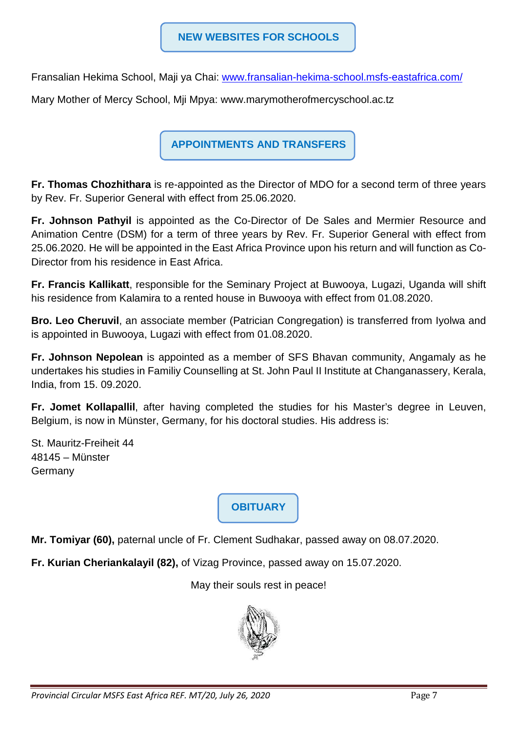Fransalian Hekima School, Maji ya Chai: www.fransalian-hekima-school.msfs-eastafrica.com/

Mary Mother of Mercy School, Mji Mpya: www.marymotherofmercyschool.ac.tz

**APPOINTMENTS AND TRANSFERS** 

**Fr. Thomas Chozhithara** is re-appointed as the Director of MDO for a second term of three years by Rev. Fr. Superior General with effect from 25.06.2020.

**Fr. Johnson Pathyil** is appointed as the Co-Director of De Sales and Mermier Resource and Animation Centre (DSM) for a term of three years by Rev. Fr. Superior General with effect from 25.06.2020. He will be appointed in the East Africa Province upon his return and will function as Co-Director from his residence in East Africa.

**Fr. Francis Kallikatt**, responsible for the Seminary Project at Buwooya, Lugazi, Uganda will shift his residence from Kalamira to a rented house in Buwooya with effect from 01.08.2020.

**Bro. Leo Cheruvil**, an associate member (Patrician Congregation) is transferred from Iyolwa and is appointed in Buwooya, Lugazi with effect from 01.08.2020.

**Fr. Johnson Nepolean** is appointed as a member of SFS Bhavan community, Angamaly as he undertakes his studies in Familiy Counselling at St. John Paul II Institute at Changanassery, Kerala, India, from 15. 09.2020.

**Fr. Jomet Kollapallil**, after having completed the studies for his Master's degree in Leuven, Belgium, is now in Münster, Germany, for his doctoral studies. His address is:

St. Mauritz-Freiheit 44 48145 – Münster Germany

**OBITUARY**

**Mr. Tomiyar (60),** paternal uncle of Fr. Clement Sudhakar, passed away on 08.07.2020.

**Fr. Kurian Cheriankalayil (82),** of Vizag Province, passed away on 15.07.2020.

May their souls rest in peace!